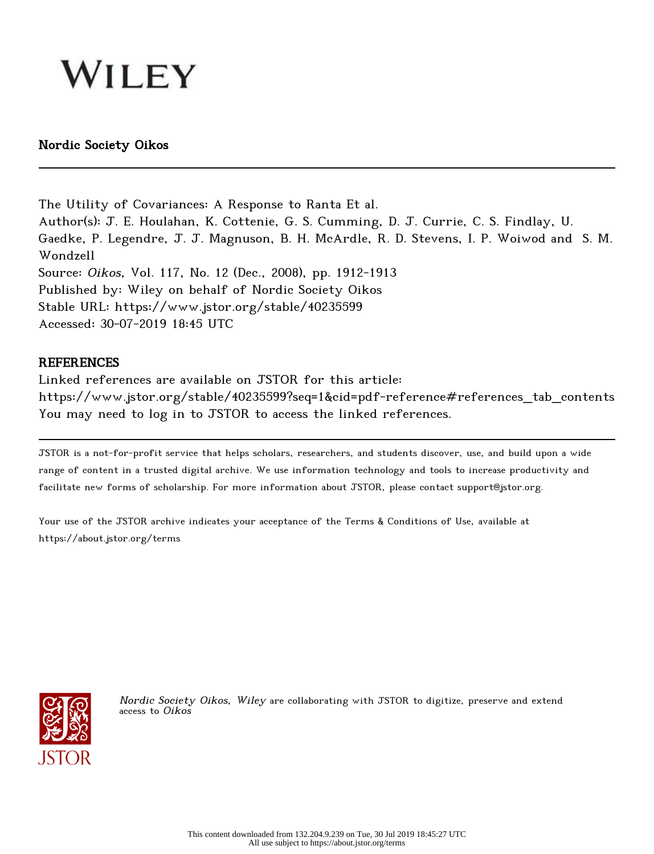# WILEY

# Nordic Society Oikos

The Utility of Covariances: A Response to Ranta Et al. Author(s): J. E. Houlahan, K. Cottenie, G. S. Cumming, D. J. Currie, C. S. Findlay, U. Gaedke, P. Legendre, J. J. Magnuson, B. H. McArdle, R. D. Stevens, I. P. Woiwod and S. M. Wondzell Source: Oikos, Vol. 117, No. 12 (Dec., 2008), pp. 1912-1913 Published by: Wiley on behalf of Nordic Society Oikos Stable URL: https://www.jstor.org/stable/40235599 Accessed: 30-07-2019 18:45 UTC

## REFERENCES

Linked references are available on JSTOR for this article: https://www.jstor.org/stable/40235599?seq=1&cid=pdf-reference#references\_tab\_contents You may need to log in to JSTOR to access the linked references.

JSTOR is a not-for-profit service that helps scholars, researchers, and students discover, use, and build upon a wide range of content in a trusted digital archive. We use information technology and tools to increase productivity and facilitate new forms of scholarship. For more information about JSTOR, please contact support@jstor.org.

Your use of the JSTOR archive indicates your acceptance of the Terms & Conditions of Use, available at https://about.jstor.org/terms



Nordic Society Oikos, Wiley are collaborating with JSTOR to digitize, preserve and extend access to Oikos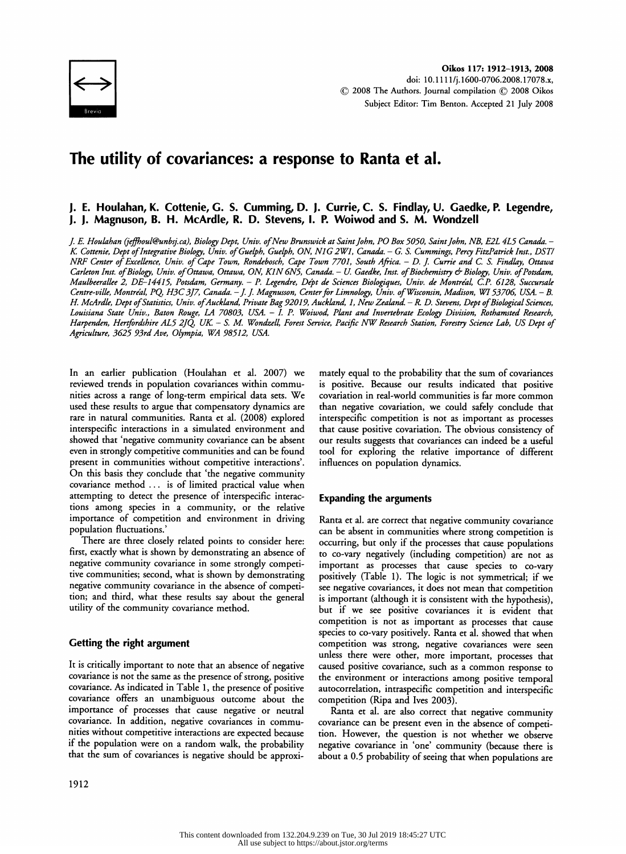

# The utility of covariances: a response to Ranta et al.

# J. E. Houlahan, K. Cottenie, G. S. Cumming, D. J. Currie, C. S. Findlay, U. Gaedke, P. Legendre,<br>J. J. Magnuson, B. H. McArdle, R. D. Stevens, I. P. Woiwod and S. M. Wondzell<br>J. E. Houlahan (jeffhoul@unbsj.ca), Biology Dep J. E. Houlahan, K. Cottenie, G. S. Cumming, D. J. Currie, C. S. Findlay, U. Gaedke, P. Legendre,<br>J. J. Magnuson, B. H. McArdle, R. D. Stevens, I. P. Woiwod and S. M. Wondzell J. E. Houlahan, K. Cottenie, G. S. Cumming, D. J. Currie, C. S. Findlay, U. Gaedke, P. Legendre,<br>J. J. Magnuson, B. H. McArdle, R. D. Stevens, I. P. Woiwod and S. M. Wondzell

y. y. Wagnason, S. W. Wernane, N. S. Sectemb, W. Wenter and S. W. Wenter.<br>J. E. Houlahan (jeffhoul@unbsj.ca), Biology Dept, Univ. of New Brunswick at Saint John, PO Box 5050, Saint John, NB, E2L 4L5 Canada. –<br>K. Cottenie. J. E. Houlahan (jeffhoul@unbsj.ca), Biology Dept, Univ. of New Brunswick at Saint John, PO Box 5050, Saint John, NB, E2L 4L5 Canada.–<br>K. Cottenie, Dept of Integrative Biology, Univ. of Guelph, Guelph, ON, N1G 2W1, Canada.– n. E. Houanan (jeffnouveurosj.cu), Blowgy Dept, Onto. of New Brunswick at Saint Jonn, I O Box 9090, Saint Jonn, INB, EZE 4E9 Canada. –<br>K. Cottenie, Dept of Integrative Biology, Univ. of Guelph, Guelph, ON, N1G 2W1, Canada. NRF Center of Excellence, Univ. of Cape Town, Rondebosch, Cape Town 7701, South Africa. – D. J. Currie and C. S. Findlay, Ottawa<br>Carleton Inst. of Biology, Univ. of Ottawa, Ottawa, ON, KIN 6N5, Canada. – U. Gaedke, Inst. o Marchen Inst. of Extensive, Onio. of Ottawa, Ottawa Solo, Capper Country, Solomon Hind. D. J. Carlie and C. S. Finalay, Ottawa, Germany. - P. Legendre, Dept de Sciences Biologiques, Univ. de Montréal, C.P. 6128, Succursale Centre-ville, Montreal, PQ, H3C3J7, Canada. -J.J. Magnusson, Center for Limnology, Univ. of Wisconsin, Madison, WI 53706, USA. - B. H. McArdle, Montréal, PQ, H3C 3J7, Canada. – J. J. Magnusson, Center for Limnology, Univ. of Wisconsin, Madison, WI 53706, USA. – B.<br>H. McArdle, Dept of Statistics, Univ. of Auckland, Private Bag 92019, Auckland, 1, New Ze Centre-vitte, Hommal, 1 & 115C 5J/, Canada. – J. J. Inagnasson, Center for Etmnology, Onto. of wisconsin, Inaaison, w1 55/00, OSA. – B.<br>H. McArdle, Dept of Statistics, Univ. of Auckland, Private Bag 92019, Auckland, 1, New Harpenden, Dept of Suitsing States Diversion, 19803, USA. – I. P. Woiwod, Plant and Invertebrate Ecology Division, Rothamsted Research,<br>Harpenden, Hertfordshire AL5 2JQ, UK. – S. M. Wondzell, Forest Service, Pacific NW Res Harpenden, Hertfordshire AL5 2JQ, UK. – S. M. Wondzell, Forest Service, Pacific NW Research Station, Forestry Science Lab, US Dept of<br>Agriculture, 3625 93rd Ave, Olympia, WA 98512, USA.

In an earlier publication (Houlahan et al. 2007) we mately equal to the probability that the sum of covariances<br>reviewed trends in population covariances within commu- is positive. Because our results indicated th In an earlier publication (Houlahan et al. 2007) we mately equal to the probability that the sum of covariances<br>reviewed trends in population covariances within commu- is positive. Because our results indicated that positi nities across a range of long-term empirical data sets. We<br>interved trends in population covariances within commu-<br>ities across a range of long-term empirical data sets. We<br>used these results to argue that compensatory dyn refixed these in population covariations within comma<br>inities across a range of long-term empirical data sets. We covariation in real-world communities is far more common<br>used these results to argue that compensatory dynam inties across a range of long-term empirical data sets. We covariation in real-world communities is rar more common<br>used these results to argue that compensatory dynamics are than negative covariation, we could safely conc used these results to argue that compensatory dynamics are<br>rare in natural communities. Ranta et al. (2008) explored interspecific competition is not as important as processes<br>interspecific interactions in a simulated envi showed that 'negative community covariance can be absent<br>showed that 'negative community covariance can be absent<br>even in strongly competitive communities and can be found tool for exploring the relative importance of diff exercise that increases in a simulated environment and<br>showed that 'negative community covariance can be absent<br>even in strongly competitive communities and can be found<br>present in communities without competitive interacti showed that hegative community covariance can be absent<br>even in strongly competitive communities and can be found<br>present in communities without competitive interactions'. influences on population dynamics.<br>On this basis t on this basis they confluence communities and can be found tool for exploring the relative importance of different<br>present in communities without competitive interactions', influences on population dynamics.<br>On this basis present in communities without competitive interactions. Inhuences on population dynamics.<br>On this basis they conclude that 'the negative community<br>covariance method ... is of limited practical value when<br>attempting to det  $\alpha$  and  $\alpha$  and  $\alpha$  are the presence of interspective diminumity<br>covariance method  $\ldots$  is of limited practical value when<br>attempting to detect the presence of interspecific interac-<br>tions among species in a community covariance method ... is of limited practical value when<br>attempting to detect the presence of interspecific interac-<br>tions among species in a community, or the relative<br>importance of competition and environment in driving Expanding the arguments<br>tions among species in a community, or the relative<br>importance of competition and environment in driving<br>population fluctuations.' The absent in communities where strong competition is

covariance is not the same as the presence of strong, positive<br>covariance. As indicated in Table 1, the presence of positive autocorrelation, intraspecific competition and interspecific<br>covariance offers an unambiguous out Evariance. As indicated in Table 1, the presence of positive<br>covariance offers an unambiguous outcome about the competition (Ripa and Ives 2003).<br>importance of processes that cause negative or neutral Ranta et al. are also covariance ones an unamoiguous outcome about the competition (Kipa and Ives 2003).<br>
importance of processes that cause negative or neutral Ranta et al. are also correct that negative community<br>
covariance. In addition, neg

 mately equal to the probability that the sum of covariances mately equal to the probability that the sum of covariances<br>is positive. Because our results indicated that positive<br>covariation in real-world communities is far more common mately equal to the probability that the sum of covariances<br>is positive. Because our results indicated that positive<br>covariation in real-world communities is far more common<br>than perstive covariation, we sould sefely equal than negative. Because our results indicated that positive<br>covariation in real-world communities is far more common<br>than negative covariation, we could safely conclude that<br>interspecific competition is not as important as Evaluation in Ical-world communities is far inter common<br>than negative covariation, we could safely conclude that<br>interspecific competition is not as important as processes<br>that cause positive covariation. The obvious cons that regard covariation, we could safely conclude that<br>interspecific competition is not as important as processes<br>that cause positive covariation. The obvious consistency of<br>our results suggests that covariances can indeed metaspecine competition is not as important as processes<br>that cause positive covariation. The obvious consistency of<br>our results suggests that covariances can indeed be a useful<br>tool for exploring the relative importance o that cause positive covariation. The obvious consistency of<br>our results suggests that covariances can indeed be a useful<br>tool for exploring the relative importance of different<br>influences on population dynamics. Four results suggests that covariances can indeed be a useful<br>tool for exploring the relative importance of different<br>influences on population dynamics.

# Expanding the arguments

tions among species in a community, or the relative<br>importance of competition and environment in driving<br>population fluctuations.'<br>There are three closely related points to consider here: occurring, but only if the process portance of competition and environment in driving<br>
portance can be absent in communities where strong competition is<br>
There are three closely related points to consider here:<br>
t. exactly what is shown by demonstrating an Figure 2.1 There are three closely related points to consider here:<br>
first, exactly what is shown by demonstrating an absence of<br>
negative community covariance in some strongly competi-<br>
important as processes that cause s There are three closely related points to consider field.<br>
first, exactly what is shown by demonstrating an absence of<br>
negative community covariance in some strongly competi-<br>
tive communities: second, what is shown by de the communities; second, what is shown by demonstrating an absence of the Co-vary hegativery (including competition) are not as<br>negative communities; second, what is shown by demonstrating positively (Table 1). The logic i negative community covariance in some strongly competi-<br>tive communities; second, what is shown by demonstrating<br>negative community covariance in the absence of competi-<br>tion; and third, what these results say about the ge the communities, second, what is shown by demonstrating<br>negative community covariance in the absence of competi-<br>tion; and third, what these results say about the general<br>utility of the community covariance method.<br>with th Integrative community covariance in the absence of competition<br>tion; and third, what these results say about the general<br>utility of the community covariance method.<br>Sure if we see positive covariances it is evident that<br>co Cetting the right argument<br>
Getting the right argument<br>
Getting the right argument<br>
Getting the right argument<br>
Getting the right argument<br>
Getting the right argument<br>
Getting the right argument<br>
Getting the right argument It is critically important to note that an absence of negative<br>It is critically important to note that an absence of negative<br>covariance, such as a common response to<br>covariance is not the same as the presence of strong, p It is critically important to note that an absence of negative<br>covariance is not the same as the presence of strong, positive<br>covariance. As indicated in Table 1. the presence of positive<br>autocorrelation intraspecific comp Example in the set of the striction of the set of the set of the set of positive covariance, such as a common response to<br>covariance is not the same as the presence of strong, positive the environment or interactions among Expanding the digaments<br>Ranta et al. are correct that negative community covariance<br>can be absent in communities where strong competition is Ranta et al. are correct that negative community covariance<br>can be absent in communities where strong competition is<br>occurring, but only if the processes that cause populations Example of an are correct that hegative community covariance<br>can be absent in communities where strong competition is<br>occurring, but only if the processes that cause populations<br>to co-vary negatively (including competition can be absent in communities where strong competition is<br>occurring, but only if the processes that cause populations<br>to co-vary negatively (including competition) are not as<br>important as processes that cause species to cooccurring, but only it the processes that cause populations<br>to co-vary negatively (including competition) are not as<br>important as processes that cause species to co-vary<br>positively (Table 1). The logic is not symmetrical; to co-vary hegatively (including competition) are not as<br>important as processes that cause species to co-vary<br>positively (Table 1). The logic is not symmetrical; if we<br>see negative covariances, it does not mean that compet see negative (Table 1). The logic is not symmetrical; if we<br>see negative covariances, it does not mean that competition<br>is important (although it is consistent with the hypothesis). see negative covariances, it does not mean that competition<br>is important (although it is consistent with the hypothesis),<br>but if we see positive covariances it is evident that see negative covariances, it does not mean that competition<br>is important (although it is consistent with the hypothesis),<br>but if we see positive covariances it is evident that<br>competition is not as important as processes t is important (attitough it is consistent with the hypothesis),<br>but if we see positive covariances it is evident that<br>competition is not as important as processes that cause<br>species to co-vary positively. Ranta et al. showe such the secular covariances to is evident that<br>competition is not as important as processes that cause<br>species to co-vary positively. Ranta et al. showed that when<br>competition was strong, negative covariances were seen competition is not as important as processes that cause<br>species to co-vary positively. Ranta et al. showed that when<br>competition was strong, negative covariances were seen<br>unless there were other. more important, processes positively. Name of all showed that when<br>competition was strong, negative covariances were seen<br>unless there were other, more important, processes that<br>caused positive covariance, such as a common response to competition was strong, negative covariances were seen<br>unless there were other, more important, processes that<br>caused positive covariance, such as a common response to<br>the environment or interactions among positive rempora athese the environment or interactions among positive temporal<br>the environment or interactions among positive temporal<br>autocorrelation, intraspecific competition and interspecific France covariance, such as a common response to<br>the environment or interactions among positive temporal<br>autocorrelation, intraspecific competition and interspecific<br>competition (Ripa and Ives 2003). the environment or interactions among positive temporal<br>autocorrelation, intraspecific competition and interspecific<br>competition (Ripa and Ives 2003).<br>Ranta et al. are also correct that negative community

nities without competitive interactions are expected because<br>inities without competitive interactions are expected because<br>if the population were on a random walk, the probability perative covariance in 'one' community (he Evaluation. In addition, hegative covariances in commu-<br>inities without competitive interactions are expected because<br>if the population were on a random walk, the probability<br>that the sum of covariances is negative should that the sum of covariances is negative should be approxi-<br>that the sum of covariances is negative should be approxi-<br>that the sum of covariances is negative should be approxi-<br>about a 0.5 probability of seeing that when p ocorrelation, intraspectic competition and interspectic<br>npetition (Ripa and Ives 2003).<br>Ranta et al. are also correct that negative community<br>ariance can be present even in the absence of competiexamplement (tapa and thes 2003).<br>
Ranta et al. are also correct that negative community<br>
covariance can be present even in the absence of competi-<br>
tion. However, the question is not whether we observe Ranta et al. are also correct that negative community<br>covariance can be present even in the absence of competi-<br>tion. However, the question is not whether we observe<br>negative covariance in 'one' community (because there is covariance can be present even in the absence or competi-<br>tion. However, the question is not whether we observe<br>negative covariance in 'one' community (because there is<br>about a 0.5 probability of seeing that when populatio about a 0.5 probability of seeing that when populations are<br>about a 0.5 probability of seeing that when populations are